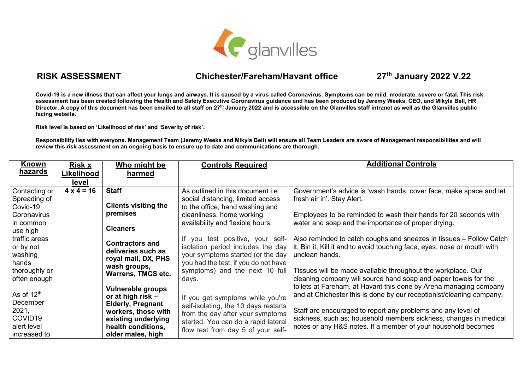

## **RISK ASSESSMENT Chichester/Fareham/Havant office 27**

**th January 2022 V.22**

**Covid-19 is a new illness that can affect your lungs and airways. It is caused by a virus called Coronavirus. Symptoms can be mild, moderate, severe or fatal. This risk assessment has been created following the Health and Safety Executive Coronavirus guidance and has been produced by Jeremy Weeks, CEO, and Mikyla Bell, HR**  Director. A copy of this document has been emailed to all staff on 27<sup>th</sup> January 2022 and is accessible on the Glanvilles staff intranet as well as the Glanvilles public **facing website.**

**Risk level is based on 'Likelihood of risk' and 'Severity of risk'.**

**Responsibility lies with everyone. Management Team (Jeremy Weeks and Mikyla Bell) will ensure all Team Leaders are aware of Management responsibilities and will review this risk assessment on an ongoing basis to ensure up to date and communications are thorough.**

| <u>Known</u>           | <b>Risk x</b>     | Who might be                                 | <b>Controls Required</b>                 | <b>Additional Controls</b>                                               |
|------------------------|-------------------|----------------------------------------------|------------------------------------------|--------------------------------------------------------------------------|
| hazards                | Likelihood        | harmed                                       |                                          |                                                                          |
|                        | level             |                                              |                                          |                                                                          |
| Contacting or          | $4 \times 4 = 16$ | <b>Staff</b>                                 | As outlined in this document <i>i.e.</i> | Government's advice is 'wash hands, cover face, make space and let       |
| Spreading of           |                   |                                              | social distancing, limited access        | fresh air in'. Stay Alert.                                               |
| Covid-19               |                   | <b>Clients visiting the</b>                  | to the office, hand washing and          |                                                                          |
| Coronavirus            |                   | premises                                     | cleanliness, home working                | Employees to be reminded to wash their hands for 20 seconds with         |
| in common              |                   |                                              | availability and flexible hours.         | water and soap and the importance of proper drying.                      |
| use high               |                   | <b>Cleaners</b>                              |                                          |                                                                          |
| traffic areas          |                   |                                              | If you test positive, your self-         | Also reminded to catch coughs and sneezes in tissues - Follow Catch      |
| or by not              |                   | <b>Contractors and</b><br>deliveries such as | isolation period includes the day        | it, Bin it, Kill it and to avoid touching face, eyes, nose or mouth with |
| washing                |                   | royal mail, DX, PHS                          | your symptoms started (or the day        | unclean hands.                                                           |
| hands                  |                   | wash groups,                                 | you had the test, if you do not have     |                                                                          |
| thoroughly or          |                   | <b>Warrens, TMCS etc.</b>                    | symptoms) and the next 10 full           | Tissues will be made available throughout the workplace. Our             |
| often enough           |                   |                                              | days.                                    | cleaning company will source hand soap and paper towels for the          |
|                        |                   | Vulnerable groups                            |                                          | toilets at Fareham, at Havant this done by Arena managing company        |
| As of 12 <sup>th</sup> |                   | or at high risk $-$                          | If you get symptoms while you're         | and at Chichester this is done by our receptionist/cleaning company.     |
| December               |                   | <b>Elderly, Pregnant</b>                     | self-isolating, the 10 days restarts     |                                                                          |
| 2021,                  |                   | workers, those with                          | from the day after your symptoms         | Staff are encouraged to report any problems and any level of             |
| COVID <sub>19</sub>    |                   | existing underlying                          | started. You can do a rapid lateral      | sickness, such as; household members sickness, changes in medical        |
| alert level            |                   | health conditions,                           | flow test from day 5 of your self-       | notes or any H&S notes. If a member of your household becomes            |
| increased to           |                   | older males, high                            |                                          |                                                                          |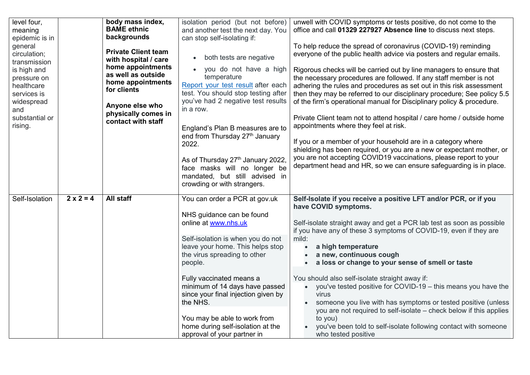| level four,<br>meaning<br>epidemic is in<br>general<br>circulation;<br>transmission<br>is high and<br>pressure on<br>healthcare<br>services is<br>widespread<br>and<br>substantial or<br>rising. |                  | body mass index,<br><b>BAME</b> ethnic<br>backgrounds<br><b>Private Client team</b><br>with hospital / care<br>home appointments<br>as well as outside<br>home appointments<br>for clients<br>Anyone else who<br>physically comes in<br>contact with staff | isolation period (but not before)<br>and another test the next day. You<br>can stop self-isolating if:<br>both tests are negative<br>$\bullet$<br>you do not have a high<br>temperature<br>Report your test result after each<br>test. You should stop testing after<br>you've had 2 negative test results<br>in a row.<br>England's Plan B measures are to<br>end from Thursday 27 <sup>th</sup> January<br>2022.<br>As of Thursday 27th January 2022,<br>face masks will no longer be<br>mandated, but still advised in<br>crowding or with strangers. | unwell with COVID symptoms or tests positive, do not come to the<br>office and call 01329 227927 Absence line to discuss next steps.<br>To help reduce the spread of coronavirus (COVID-19) reminding<br>everyone of the public health advice via posters and regular emails.<br>Rigorous checks will be carried out by line managers to ensure that<br>the necessary procedures are followed. If any staff member is not<br>adhering the rules and procedures as set out in this risk assessment<br>then they may be referred to our disciplinary procedure; See policy 5.5<br>of the firm's operational manual for Disciplinary policy & procedure.<br>Private Client team not to attend hospital / care home / outside home<br>appointments where they feel at risk.<br>If you or a member of your household are in a category where<br>shielding has been required, or you are a new or expectant mother, or<br>you are not accepting COVID19 vaccinations, please report to your<br>department head and HR, so we can ensure safeguarding is in place. |
|--------------------------------------------------------------------------------------------------------------------------------------------------------------------------------------------------|------------------|------------------------------------------------------------------------------------------------------------------------------------------------------------------------------------------------------------------------------------------------------------|----------------------------------------------------------------------------------------------------------------------------------------------------------------------------------------------------------------------------------------------------------------------------------------------------------------------------------------------------------------------------------------------------------------------------------------------------------------------------------------------------------------------------------------------------------|-------------------------------------------------------------------------------------------------------------------------------------------------------------------------------------------------------------------------------------------------------------------------------------------------------------------------------------------------------------------------------------------------------------------------------------------------------------------------------------------------------------------------------------------------------------------------------------------------------------------------------------------------------------------------------------------------------------------------------------------------------------------------------------------------------------------------------------------------------------------------------------------------------------------------------------------------------------------------------------------------------------------------------------------------------------|
| Self-Isolation                                                                                                                                                                                   | $2 \times 2 = 4$ | <b>All staff</b>                                                                                                                                                                                                                                           | You can order a PCR at gov.uk<br>NHS guidance can be found<br>online at www.nhs.uk<br>Self-isolation is when you do not<br>leave your home. This helps stop<br>the virus spreading to other<br>people.<br>Fully vaccinated means a<br>minimum of 14 days have passed<br>since your final injection given by<br>the NHS.<br>You may be able to work from<br>home during self-isolation at the<br>approval of your partner in                                                                                                                              | Self-Isolate if you receive a positive LFT and/or PCR, or if you<br>have COVID symptoms.<br>Self-isolate straight away and get a PCR lab test as soon as possible<br>if you have any of these 3 symptoms of COVID-19, even if they are<br>mild:<br>a high temperature<br>$\bullet$<br>a new, continuous cough<br>a loss or change to your sense of smell or taste<br>You should also self-isolate straight away if:<br>• you've tested positive for COVID-19 - this means you have the<br>virus<br>someone you live with has symptoms or tested positive (unless<br>you are not required to self-isolate – check below if this applies<br>to you)<br>you've been told to self-isolate following contact with someone<br>who tested positive                                                                                                                                                                                                                                                                                                                 |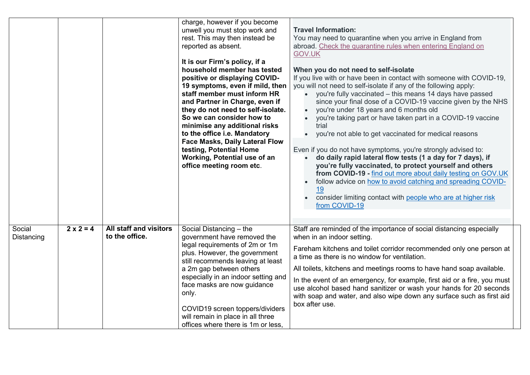|                      |                  |                                                 | charge, however if you become<br>unwell you must stop work and<br>rest. This may then instead be<br>reported as absent.<br>It is our Firm's policy, if a<br>household member has tested<br>positive or displaying COVID-<br>19 symptoms, even if mild, then<br>staff member must inform HR<br>and Partner in Charge, even if<br>they do not need to self-isolate.<br>So we can consider how to<br>minimise any additional risks<br>to the office i.e. Mandatory<br><b>Face Masks, Daily Lateral Flow</b><br>testing, Potential Home<br>Working, Potential use of an<br>office meeting room etc. | <b>Travel Information:</b><br>You may need to quarantine when you arrive in England from<br>abroad. Check the quarantine rules when entering England on<br><b>GOV.UK</b><br>When you do not need to self-isolate<br>If you live with or have been in contact with someone with COVID-19,<br>you will not need to self-isolate if any of the following apply:<br>• you're fully vaccinated - this means 14 days have passed<br>since your final dose of a COVID-19 vaccine given by the NHS<br>you're under 18 years and 6 months old<br>you're taking part or have taken part in a COVID-19 vaccine<br>trial<br>you're not able to get vaccinated for medical reasons<br>$\bullet$<br>Even if you do not have symptoms, you're strongly advised to:<br>do daily rapid lateral flow tests (1 a day for 7 days), if<br>you're fully vaccinated, to protect yourself and others<br>from COVID-19 - find out more about daily testing on GOV.UK<br>follow advice on how to avoid catching and spreading COVID-<br><u>19</u><br>consider limiting contact with people who are at higher risk<br>from COVID-19 |
|----------------------|------------------|-------------------------------------------------|-------------------------------------------------------------------------------------------------------------------------------------------------------------------------------------------------------------------------------------------------------------------------------------------------------------------------------------------------------------------------------------------------------------------------------------------------------------------------------------------------------------------------------------------------------------------------------------------------|----------------------------------------------------------------------------------------------------------------------------------------------------------------------------------------------------------------------------------------------------------------------------------------------------------------------------------------------------------------------------------------------------------------------------------------------------------------------------------------------------------------------------------------------------------------------------------------------------------------------------------------------------------------------------------------------------------------------------------------------------------------------------------------------------------------------------------------------------------------------------------------------------------------------------------------------------------------------------------------------------------------------------------------------------------------------------------------------------------|
| Social<br>Distancing | $2 \times 2 = 4$ | <b>All staff and visitors</b><br>to the office. | Social Distancing - the<br>government have removed the<br>legal requirements of 2m or 1m<br>plus. However, the government<br>still recommends leaving at least<br>a 2m gap between others<br>especially in an indoor setting and<br>face masks are now guidance<br>only.<br>COVID19 screen toppers/dividers<br>will remain in place in all three<br>offices where there is 1m or less.                                                                                                                                                                                                          | Staff are reminded of the importance of social distancing especially<br>when in an indoor setting.<br>Fareham kitchens and toilet corridor recommended only one person at<br>a time as there is no window for ventilation.<br>All toilets, kitchens and meetings rooms to have hand soap available.<br>In the event of an emergency, for example, first aid or a fire, you must<br>use alcohol based hand sanitizer or wash your hands for 20 seconds<br>with soap and water, and also wipe down any surface such as first aid<br>box after use.                                                                                                                                                                                                                                                                                                                                                                                                                                                                                                                                                         |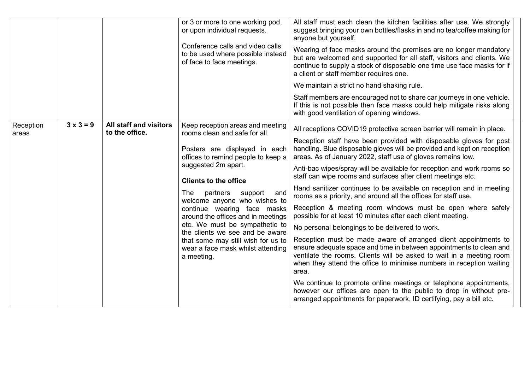|                                        |                                                 | or 3 or more to one working pod,<br>or upon individual requests.<br>Conference calls and video calls<br>to be used where possible instead<br>of face to face meetings.                                                                                                                                                                                                                                                                                                                                    | All staff must each clean the kitchen facilities after use. We strongly<br>suggest bringing your own bottles/flasks in and no tea/coffee making for<br>anyone but yourself.<br>Wearing of face masks around the premises are no longer mandatory<br>but are welcomed and supported for all staff, visitors and clients. We<br>continue to supply a stock of disposable one time use face masks for if<br>a client or staff member requires one.<br>We maintain a strict no hand shaking rule.<br>Staff members are encouraged not to share car journeys in one vehicle.<br>If this is not possible then face masks could help mitigate risks along<br>with good ventilation of opening windows.                                                                                                                                                                                                                                                                                                                                                                                                                                                                                                                                                                                 |
|----------------------------------------|-------------------------------------------------|-----------------------------------------------------------------------------------------------------------------------------------------------------------------------------------------------------------------------------------------------------------------------------------------------------------------------------------------------------------------------------------------------------------------------------------------------------------------------------------------------------------|---------------------------------------------------------------------------------------------------------------------------------------------------------------------------------------------------------------------------------------------------------------------------------------------------------------------------------------------------------------------------------------------------------------------------------------------------------------------------------------------------------------------------------------------------------------------------------------------------------------------------------------------------------------------------------------------------------------------------------------------------------------------------------------------------------------------------------------------------------------------------------------------------------------------------------------------------------------------------------------------------------------------------------------------------------------------------------------------------------------------------------------------------------------------------------------------------------------------------------------------------------------------------------|
| $3 \times 3 = 9$<br>Reception<br>areas | <b>All staff and visitors</b><br>to the office. | Keep reception areas and meeting<br>rooms clean and safe for all.<br>Posters are displayed in each<br>offices to remind people to keep a<br>suggested 2m apart.<br><b>Clients to the office</b><br>partners<br>The l<br>support<br>and<br>welcome anyone who wishes to<br>continue wearing face masks<br>around the offices and in meetings<br>etc. We must be sympathetic to<br>the clients we see and be aware<br>that some may still wish for us to<br>wear a face mask whilst attending<br>a meeting. | All receptions COVID19 protective screen barrier will remain in place.<br>Reception staff have been provided with disposable gloves for post<br>handling. Blue disposable gloves will be provided and kept on reception<br>areas. As of January 2022, staff use of gloves remains low.<br>Anti-bac wipes/spray will be available for reception and work rooms so<br>staff can wipe rooms and surfaces after client meetings etc.<br>Hand sanitizer continues to be available on reception and in meeting<br>rooms as a priority, and around all the offices for staff use.<br>Reception & meeting room windows must be open where safely<br>possible for at least 10 minutes after each client meeting.<br>No personal belongings to be delivered to work.<br>Reception must be made aware of arranged client appointments to<br>ensure adequate space and time in between appointments to clean and<br>ventilate the rooms. Clients will be asked to wait in a meeting room<br>when they attend the office to minimise numbers in reception waiting<br>area.<br>We continue to promote online meetings or telephone appointments,<br>however our offices are open to the public to drop in without pre-<br>arranged appointments for paperwork, ID certifying, pay a bill etc. |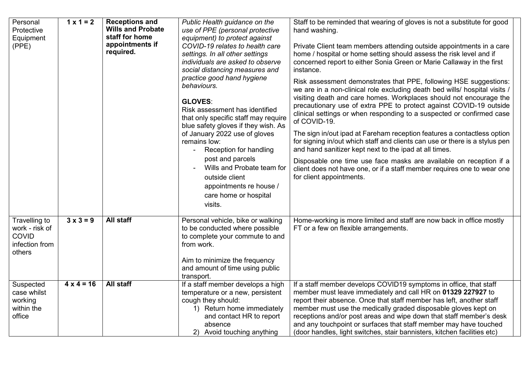| Personal<br>Protective<br>Equipment<br>(PPE)                                | $1 \times 1 = 2$  | <b>Receptions and</b><br><b>Wills and Probate</b><br>staff for home<br>appointments if<br>required. | Public Health guidance on the<br>use of PPE (personal protective<br>equipment) to protect against<br>COVID-19 relates to health care<br>settings. In all other settings<br>individuals are asked to observe<br>social distancing measures and<br>practice good hand hygiene<br>behaviours.<br><b>GLOVES:</b><br>Risk assessment has identified<br>that only specific staff may require<br>blue safety gloves if they wish. As<br>of January 2022 use of gloves<br>remains low:<br>Reception for handling<br>post and parcels<br>Wills and Probate team for<br>outside client<br>appointments re house /<br>care home or hospital<br>visits. | Staff to be reminded that wearing of gloves is not a substitute for good<br>hand washing.<br>Private Client team members attending outside appointments in a care<br>home / hospital or home setting should assess the risk level and if<br>concerned report to either Sonia Green or Marie Callaway in the first<br>instance.<br>Risk assessment demonstrates that PPE, following HSE suggestions:<br>we are in a non-clinical role excluding death bed wills/ hospital visits /<br>visiting death and care homes. Workplaces should not encourage the<br>precautionary use of extra PPE to protect against COVID-19 outside<br>clinical settings or when responding to a suspected or confirmed case<br>of COVID-19.<br>The sign in/out ipad at Fareham reception features a contactless option<br>for signing in/out which staff and clients can use or there is a stylus pen<br>and hand sanitizer kept next to the ipad at all times.<br>Disposable one time use face masks are available on reception if a<br>client does not have one, or if a staff member requires one to wear one<br>for client appointments. |
|-----------------------------------------------------------------------------|-------------------|-----------------------------------------------------------------------------------------------------|---------------------------------------------------------------------------------------------------------------------------------------------------------------------------------------------------------------------------------------------------------------------------------------------------------------------------------------------------------------------------------------------------------------------------------------------------------------------------------------------------------------------------------------------------------------------------------------------------------------------------------------------|-------------------------------------------------------------------------------------------------------------------------------------------------------------------------------------------------------------------------------------------------------------------------------------------------------------------------------------------------------------------------------------------------------------------------------------------------------------------------------------------------------------------------------------------------------------------------------------------------------------------------------------------------------------------------------------------------------------------------------------------------------------------------------------------------------------------------------------------------------------------------------------------------------------------------------------------------------------------------------------------------------------------------------------------------------------------------------------------------------------------------|
| Travelling to<br>work - risk of<br><b>COVID</b><br>infection from<br>others | $3 \times 3 = 9$  | <b>All staff</b>                                                                                    | Personal vehicle, bike or walking<br>to be conducted where possible<br>to complete your commute to and<br>from work.<br>Aim to minimize the frequency<br>and amount of time using public<br>transport.                                                                                                                                                                                                                                                                                                                                                                                                                                      | Home-working is more limited and staff are now back in office mostly<br>FT or a few on flexible arrangements.                                                                                                                                                                                                                                                                                                                                                                                                                                                                                                                                                                                                                                                                                                                                                                                                                                                                                                                                                                                                           |
| Suspected<br>case whilst<br>working<br>within the<br>office                 | $4 \times 4 = 16$ | <b>All staff</b>                                                                                    | If a staff member develops a high<br>temperature or a new, persistent<br>cough they should:<br>1) Return home immediately<br>and contact HR to report<br>absence<br>2) Avoid touching anything                                                                                                                                                                                                                                                                                                                                                                                                                                              | If a staff member develops COVID19 symptoms in office, that staff<br>member must leave immediately and call HR on 01329 227927 to<br>report their absence. Once that staff member has left, another staff<br>member must use the medically graded disposable gloves kept on<br>receptions and/or post areas and wipe down that staff member's desk<br>and any touchpoint or surfaces that staff member may have touched<br>(door handles, light switches, stair bannisters, kitchen facilities etc)                                                                                                                                                                                                                                                                                                                                                                                                                                                                                                                                                                                                                     |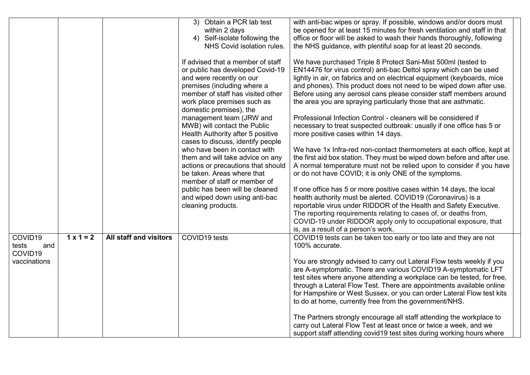|                                                                |                  |                               | 3) Obtain a PCR lab test<br>within 2 days<br>4) Self-isolate following the<br>NHS Covid isolation rules.<br>If advised that a member of staff<br>or public has developed Covid-19<br>and were recently on our<br>premises (including where a<br>member of staff has visited other<br>work place premises such as<br>domestic premises), the<br>management team (JRW and<br>MWB) will contact the Public<br>Health Authority after 5 positive<br>cases to discuss, identify people<br>who have been in contact with<br>them and will take advice on any<br>actions or precautions that should<br>be taken. Areas where that<br>member of staff or member of<br>public has been will be cleaned<br>and wiped down using anti-bac<br>cleaning products. | with anti-bac wipes or spray. If possible, windows and/or doors must<br>be opened for at least 15 minutes for fresh ventilation and staff in that<br>office or floor will be asked to wash their hands thoroughly, following<br>the NHS guidance, with plentiful soap for at least 20 seconds.<br>We have purchased Triple 8 Protect Sani-Mist 500ml (tested to<br>EN14476 for virus control) anti-bac Dettol spray which can be used<br>lightly in air, on fabrics and on electrical equipment (keyboards, mice<br>and phones). This product does not need to be wiped down after use.<br>Before using any aerosol cans please consider staff members around<br>the area you are spraying particularly those that are asthmatic.<br>Professional Infection Control - cleaners will be considered if<br>necessary to treat suspected outbreak: usually if one office has 5 or<br>more positive cases within 14 days.<br>We have 1x Infra-red non-contact thermometers at each office, kept at<br>the first aid box station. They must be wiped down before and after use.<br>A normal temperature must not be relied upon to consider if you have<br>or do not have COVID; it is only ONE of the symptoms.<br>If one office has 5 or more positive cases within 14 days, the local<br>health authority must be alerted. COVID19 (Coronavirus) is a<br>reportable virus under RIDDOR of the Health and Safety Executive.<br>The reporting requirements relating to cases of, or deaths from,<br>COVID-19 under RIDDOR apply only to occupational exposure, that<br>is, as a result of a person's work. |  |
|----------------------------------------------------------------|------------------|-------------------------------|------------------------------------------------------------------------------------------------------------------------------------------------------------------------------------------------------------------------------------------------------------------------------------------------------------------------------------------------------------------------------------------------------------------------------------------------------------------------------------------------------------------------------------------------------------------------------------------------------------------------------------------------------------------------------------------------------------------------------------------------------|-------------------------------------------------------------------------------------------------------------------------------------------------------------------------------------------------------------------------------------------------------------------------------------------------------------------------------------------------------------------------------------------------------------------------------------------------------------------------------------------------------------------------------------------------------------------------------------------------------------------------------------------------------------------------------------------------------------------------------------------------------------------------------------------------------------------------------------------------------------------------------------------------------------------------------------------------------------------------------------------------------------------------------------------------------------------------------------------------------------------------------------------------------------------------------------------------------------------------------------------------------------------------------------------------------------------------------------------------------------------------------------------------------------------------------------------------------------------------------------------------------------------------------------------------------------------------------------------------------|--|
| COVID19<br>tests<br>and<br>COVID <sub>19</sub><br>vaccinations | $1 \times 1 = 2$ | <b>All staff and visitors</b> | COVID19 tests                                                                                                                                                                                                                                                                                                                                                                                                                                                                                                                                                                                                                                                                                                                                        | COVID19 tests can be taken too early or too late and they are not<br>100% accurate.<br>You are strongly advised to carry out Lateral Flow tests weekly if you<br>are A-symptomatic. There are various COVID19 A-symptomatic LFT<br>test sites where anyone attending a workplace can be tested, for free,<br>through a Lateral Flow Test. There are appointments available online<br>for Hampshire or West Sussex, or you can order Lateral Flow test kits<br>to do at home, currently free from the government/NHS.<br>The Partners strongly encourage all staff attending the workplace to<br>carry out Lateral Flow Test at least once or twice a week, and we<br>support staff attending covid19 test sites during working hours where                                                                                                                                                                                                                                                                                                                                                                                                                                                                                                                                                                                                                                                                                                                                                                                                                                                            |  |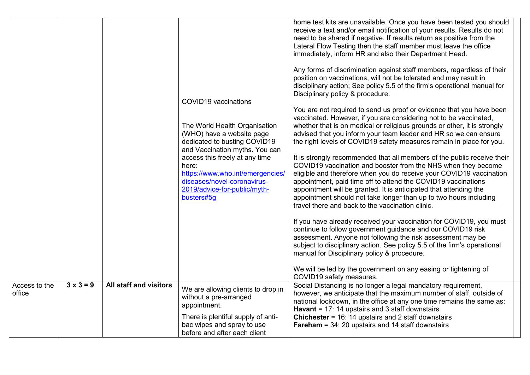|                         |                  |                               | COVID19 vaccinations<br>The World Health Organisation<br>(WHO) have a website page<br>dedicated to busting COVID19<br>and Vaccination myths. You can<br>access this freely at any time<br>here:<br>https://www.who.int/emergencies/<br>diseases/novel-coronavirus-<br>2019/advice-for-public/myth-<br>busters#5g | home test kits are unavailable. Once you have been tested you should<br>receive a text and/or email notification of your results. Results do not<br>need to be shared if negative. If results return as positive from the<br>Lateral Flow Testing then the staff member must leave the office<br>immediately, inform HR and also their Department Head.<br>Any forms of discrimination against staff members, regardless of their<br>position on vaccinations, will not be tolerated and may result in<br>disciplinary action; See policy 5.5 of the firm's operational manual for<br>Disciplinary policy & procedure.<br>You are not required to send us proof or evidence that you have been<br>vaccinated. However, if you are considering not to be vaccinated,<br>whether that is on medical or religious grounds or other, it is strongly<br>advised that you inform your team leader and HR so we can ensure<br>the right levels of COVID19 safety measures remain in place for you.<br>It is strongly recommended that all members of the public receive their<br>COVID19 vaccination and booster from the NHS when they become<br>eligible and therefore when you do receive your COVID19 vaccination<br>appointment, paid time off to attend the COVID19 vaccinations<br>appointment will be granted. It is anticipated that attending the<br>appointment should not take longer than up to two hours including<br>travel there and back to the vaccination clinic.<br>If you have already received your vaccination for COVID19, you must<br>continue to follow government guidance and our COVID19 risk<br>assessment. Anyone not following the risk assessment may be<br>subject to disciplinary action. See policy 5.5 of the firm's operational<br>manual for Disciplinary policy & procedure.<br>We will be led by the government on any easing or tightening of<br>COVID19 safety measures. |
|-------------------------|------------------|-------------------------------|------------------------------------------------------------------------------------------------------------------------------------------------------------------------------------------------------------------------------------------------------------------------------------------------------------------|--------------------------------------------------------------------------------------------------------------------------------------------------------------------------------------------------------------------------------------------------------------------------------------------------------------------------------------------------------------------------------------------------------------------------------------------------------------------------------------------------------------------------------------------------------------------------------------------------------------------------------------------------------------------------------------------------------------------------------------------------------------------------------------------------------------------------------------------------------------------------------------------------------------------------------------------------------------------------------------------------------------------------------------------------------------------------------------------------------------------------------------------------------------------------------------------------------------------------------------------------------------------------------------------------------------------------------------------------------------------------------------------------------------------------------------------------------------------------------------------------------------------------------------------------------------------------------------------------------------------------------------------------------------------------------------------------------------------------------------------------------------------------------------------------------------------------------------------------------------------------------------------------------------|
| Access to the<br>office | $3 \times 3 = 9$ | <b>All staff and visitors</b> | We are allowing clients to drop in<br>without a pre-arranged<br>appointment.<br>There is plentiful supply of anti-                                                                                                                                                                                               | Social Distancing is no longer a legal mandatory requirement,<br>however, we anticipate that the maximum number of staff, outside of<br>national lockdown, in the office at any one time remains the same as:<br>Havant = $17: 14$ upstairs and 3 staff downstairs<br><b>Chichester</b> = $16: 14$ upstairs and 2 staff downstairs                                                                                                                                                                                                                                                                                                                                                                                                                                                                                                                                                                                                                                                                                                                                                                                                                                                                                                                                                                                                                                                                                                                                                                                                                                                                                                                                                                                                                                                                                                                                                                           |
|                         |                  |                               | bac wipes and spray to use<br>before and after each client                                                                                                                                                                                                                                                       | Fareham = 34: 20 upstairs and 14 staff downstairs                                                                                                                                                                                                                                                                                                                                                                                                                                                                                                                                                                                                                                                                                                                                                                                                                                                                                                                                                                                                                                                                                                                                                                                                                                                                                                                                                                                                                                                                                                                                                                                                                                                                                                                                                                                                                                                            |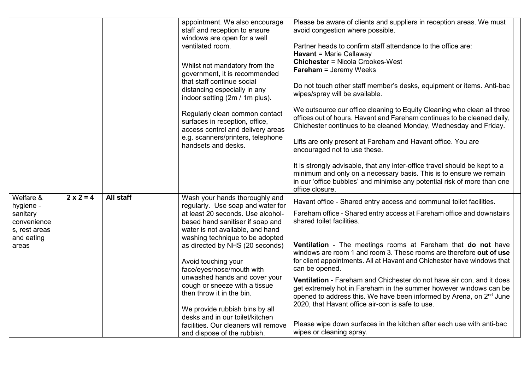|               |                  |           | appointment. We also encourage                                      | Please be aware of clients and suppliers in reception areas. We must                               |
|---------------|------------------|-----------|---------------------------------------------------------------------|----------------------------------------------------------------------------------------------------|
|               |                  |           | staff and reception to ensure                                       | avoid congestion where possible.                                                                   |
|               |                  |           | windows are open for a well                                         |                                                                                                    |
|               |                  |           | ventilated room.                                                    | Partner heads to confirm staff attendance to the office are:                                       |
|               |                  |           |                                                                     | <b>Havant</b> = Marie Callaway                                                                     |
|               |                  |           |                                                                     | <b>Chichester = Nicola Crookes-West</b>                                                            |
|               |                  |           | Whilst not mandatory from the                                       | <b>Fareham</b> = Jeremy Weeks                                                                      |
|               |                  |           | government, it is recommended<br>that staff continue social         |                                                                                                    |
|               |                  |           |                                                                     | Do not touch other staff member's desks, equipment or items. Anti-bac                              |
|               |                  |           | distancing especially in any<br>indoor setting (2m / 1m plus).      | wipes/spray will be available.                                                                     |
|               |                  |           |                                                                     |                                                                                                    |
|               |                  |           | Regularly clean common contact                                      | We outsource our office cleaning to Equity Cleaning who clean all three                            |
|               |                  |           | surfaces in reception, office,                                      | offices out of hours. Havant and Fareham continues to be cleaned daily,                            |
|               |                  |           | access control and delivery areas                                   | Chichester continues to be cleaned Monday, Wednesday and Friday.                                   |
|               |                  |           | e.g. scanners/printers, telephone                                   |                                                                                                    |
|               |                  |           | handsets and desks.                                                 | Lifts are only present at Fareham and Havant office. You are                                       |
|               |                  |           |                                                                     | encouraged not to use these.                                                                       |
|               |                  |           |                                                                     |                                                                                                    |
|               |                  |           |                                                                     | It is strongly advisable, that any inter-office travel should be kept to a                         |
|               |                  |           |                                                                     | minimum and only on a necessary basis. This is to ensure we remain                                 |
|               |                  |           |                                                                     | in our 'office bubbles' and minimise any potential risk of more than one                           |
|               |                  |           |                                                                     | office closure.                                                                                    |
| Welfare &     | $2 \times 2 = 4$ | All staff | Wash your hands thoroughly and                                      | Havant office - Shared entry access and communal toilet facilities.                                |
| hygiene -     |                  |           | regularly. Use soap and water for                                   |                                                                                                    |
| sanitary      |                  |           | at least 20 seconds. Use alcohol-                                   | Fareham office - Shared entry access at Fareham office and downstairs<br>shared toilet facilities. |
| convenience   |                  |           | based hand sanitiser if soap and                                    |                                                                                                    |
| s, rest areas |                  |           | water is not available, and hand                                    |                                                                                                    |
| and eating    |                  |           | washing technique to be adopted                                     | Ventilation - The meetings rooms at Fareham that do not have                                       |
| areas         |                  |           | as directed by NHS (20 seconds)                                     | windows are room 1 and room 3. These rooms are therefore out of use                                |
|               |                  |           |                                                                     | for client appointments. All at Havant and Chichester have windows that                            |
|               |                  |           | Avoid touching your<br>face/eyes/nose/mouth with                    | can be opened.                                                                                     |
|               |                  |           | unwashed hands and cover your                                       |                                                                                                    |
|               |                  |           | cough or sneeze with a tissue                                       | Ventilation - Fareham and Chichester do not have air con, and it does                              |
|               |                  |           | then throw it in the bin.                                           | get extremely hot in Fareham in the summer however windows can be                                  |
|               |                  |           |                                                                     | opened to address this. We have been informed by Arena, on 2 <sup>nd</sup> June                    |
|               |                  |           | We provide rubbish bins by all                                      | 2020, that Havant office air-con is safe to use.                                                   |
|               |                  |           |                                                                     |                                                                                                    |
|               |                  |           |                                                                     |                                                                                                    |
|               |                  |           | desks and in our toilet/kitchen                                     |                                                                                                    |
|               |                  |           | facilities. Our cleaners will remove<br>and dispose of the rubbish. | Please wipe down surfaces in the kitchen after each use with anti-bac<br>wipes or cleaning spray.  |